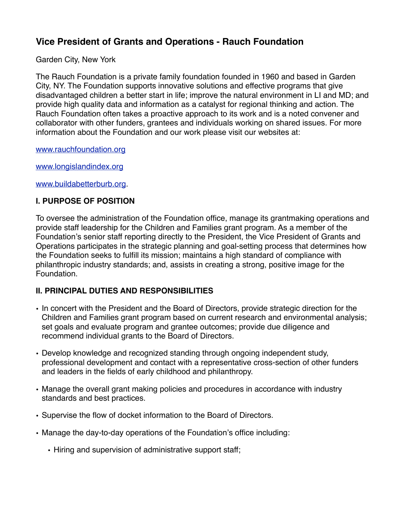# **Vice President of Grants and Operations - Rauch Foundation**

Garden City, New York

The Rauch Foundation is a private family foundation founded in 1960 and based in Garden City, NY. The Foundation supports innovative solutions and effective programs that give disadvantaged children a better start in life; improve the natural environment in LI and MD; and provide high quality data and information as a catalyst for regional thinking and action. The Rauch Foundation often takes a proactive approach to its work and is a noted convener and collaborator with other funders, grantees and individuals working on shared issues. For more information about the Foundation and our work please visit our websites at:

[www.rauchfoundation.org](http://www.rauchfoundation.org/)

[www.longislandindex.org](http://www.longislandindex.org/)

[www.buildabetterburb.org](http://www.buildabetterburb.org/).

### **I. PURPOSE OF POSITION**

To oversee the administration of the Foundation office, manage its grantmaking operations and provide staff leadership for the Children and Families grant program. As a member of the Foundation's senior staff reporting directly to the President, the Vice President of Grants and Operations participates in the strategic planning and goal-setting process that determines how the Foundation seeks to fulfill its mission; maintains a high standard of compliance with philanthropic industry standards; and, assists in creating a strong, positive image for the Foundation.

### **II. PRINCIPAL DUTIES AND RESPONSIBILITIES**

- In concert with the President and the Board of Directors, provide strategic direction for the Children and Families grant program based on current research and environmental analysis; set goals and evaluate program and grantee outcomes; provide due diligence and recommend individual grants to the Board of Directors.
- Develop knowledge and recognized standing through ongoing independent study, professional development and contact with a representative cross-section of other funders and leaders in the fields of early childhood and philanthropy.
- Manage the overall grant making policies and procedures in accordance with industry standards and best practices.
- Supervise the flow of docket information to the Board of Directors.
- Manage the day-to-day operations of the Foundation's office including:
	- Hiring and supervision of administrative support staff;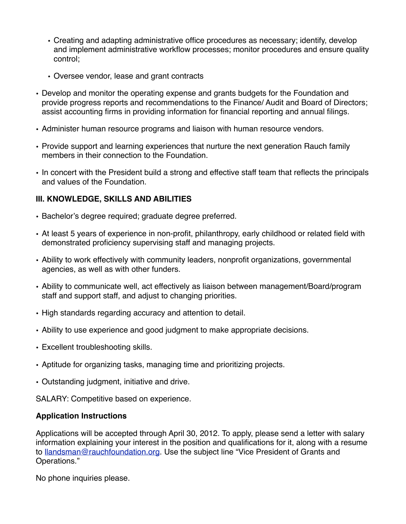- Creating and adapting administrative office procedures as necessary; identify, develop and implement administrative workflow processes; monitor procedures and ensure quality control;
- Oversee vendor, lease and grant contracts
- Develop and monitor the operating expense and grants budgets for the Foundation and provide progress reports and recommendations to the Finance/ Audit and Board of Directors; assist accounting firms in providing information for financial reporting and annual filings.
- Administer human resource programs and liaison with human resource vendors.
- Provide support and learning experiences that nurture the next generation Rauch family members in their connection to the Foundation.
- In concert with the President build a strong and effective staff team that reflects the principals and values of the Foundation.

## **III. KNOWLEDGE, SKILLS AND ABILITIES**

- Bachelor's degree required; graduate degree preferred.
- At least 5 years of experience in non-profit, philanthropy, early childhood or related field with demonstrated proficiency supervising staff and managing projects.
- Ability to work effectively with community leaders, nonprofit organizations, governmental agencies, as well as with other funders.
- Ability to communicate well, act effectively as liaison between management/Board/program staff and support staff, and adjust to changing priorities.
- High standards regarding accuracy and attention to detail.
- Ability to use experience and good judgment to make appropriate decisions.
- Excellent troubleshooting skills.
- Aptitude for organizing tasks, managing time and prioritizing projects.
- Outstanding judgment, initiative and drive.

SALARY: Competitive based on experience.

### **Application Instructions**

Applications will be accepted through April 30, 2012. To apply, please send a letter with salary information explaining your interest in the position and qualifications for it, along with a resume to [llandsman@rauchfoundation.org.](mailto:llandsman@rauchfoundation.org) Use the subject line "Vice President of Grants and Operations."

No phone inquiries please.